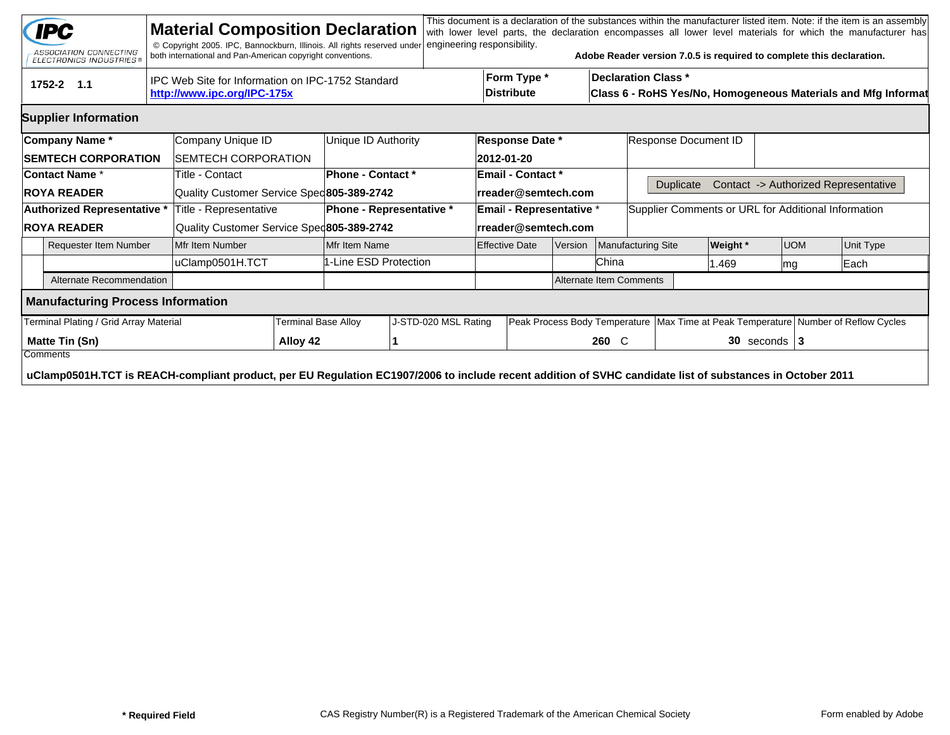|                                                                                                | <b>IPC</b><br>ASSOCIATION CONNECTING<br><b>ELECTRONICS INDUSTRIES®</b>                                                                                                |  | <b>Material Composition Declaration</b><br>© Copyright 2005. IPC, Bannockburn, Illinois. All rights reserved under<br>both international and Pan-American copyright conventions. |                          |                          | engineering responsibility. |  |                                  |       |                      | Adobe Reader version 7.0.5 is required to complete this declaration.                        |          |                                                                                        |                                      | This document is a declaration of the substances within the manufacturer listed item. Note: if the item is an assembly<br>with lower level parts, the declaration encompasses all lower level materials for which the manufacturer has |  |
|------------------------------------------------------------------------------------------------|-----------------------------------------------------------------------------------------------------------------------------------------------------------------------|--|----------------------------------------------------------------------------------------------------------------------------------------------------------------------------------|--------------------------|--------------------------|-----------------------------|--|----------------------------------|-------|----------------------|---------------------------------------------------------------------------------------------|----------|----------------------------------------------------------------------------------------|--------------------------------------|----------------------------------------------------------------------------------------------------------------------------------------------------------------------------------------------------------------------------------------|--|
| IPC Web Site for Information on IPC-1752 Standard<br>1752-2 1.1<br>http://www.ipc.org/IPC-175x |                                                                                                                                                                       |  |                                                                                                                                                                                  |                          |                          |                             |  | Form Type *<br><b>Distribute</b> |       |                      | <b>Declaration Class *</b><br>Class 6 - RoHS Yes/No, Homogeneous Materials and Mfg Informat |          |                                                                                        |                                      |                                                                                                                                                                                                                                        |  |
|                                                                                                | <b>Supplier Information</b>                                                                                                                                           |  |                                                                                                                                                                                  |                          |                          |                             |  |                                  |       |                      |                                                                                             |          |                                                                                        |                                      |                                                                                                                                                                                                                                        |  |
|                                                                                                | Company Name*                                                                                                                                                         |  | Company Unique ID                                                                                                                                                                |                          | Unique ID Authority      | <b>Response Date *</b>      |  |                                  |       | Response Document ID |                                                                                             |          |                                                                                        |                                      |                                                                                                                                                                                                                                        |  |
|                                                                                                | <b>SEMTECH CORPORATION</b>                                                                                                                                            |  | SEMTECH CORPORATION                                                                                                                                                              |                          |                          |                             |  | 2012-01-20                       |       |                      |                                                                                             |          |                                                                                        |                                      |                                                                                                                                                                                                                                        |  |
| <b>Contact Name *</b>                                                                          |                                                                                                                                                                       |  | Title - Contact                                                                                                                                                                  |                          | <b>Phone - Contact *</b> |                             |  | <b>Email - Contact *</b>         |       |                      |                                                                                             |          |                                                                                        |                                      |                                                                                                                                                                                                                                        |  |
| <b>ROYA READER</b>                                                                             |                                                                                                                                                                       |  | Quality Customer Service Spec 805-389-2742                                                                                                                                       |                          |                          | rreader@semtech.com         |  |                                  |       | Duplicate            |                                                                                             |          |                                                                                        | Contact -> Authorized Representative |                                                                                                                                                                                                                                        |  |
|                                                                                                | Authorized Representative *                                                                                                                                           |  | Title - Representative                                                                                                                                                           | Phone - Representative * |                          |                             |  | Email - Representative *         |       |                      | Supplier Comments or URL for Additional Information                                         |          |                                                                                        |                                      |                                                                                                                                                                                                                                        |  |
|                                                                                                | <b>ROYA READER</b>                                                                                                                                                    |  | Quality Customer Service Sped805-389-2742                                                                                                                                        |                          |                          |                             |  | rreader@semtech.com              |       |                      |                                                                                             |          |                                                                                        |                                      |                                                                                                                                                                                                                                        |  |
| <b>Requester Item Number</b>                                                                   |                                                                                                                                                                       |  | Mfr Item Number                                                                                                                                                                  |                          | Mfr Item Name            |                             |  | <b>Effective Date</b><br>Version |       |                      | Manufacturing Site                                                                          | Weight * | <b>UOM</b>                                                                             |                                      | Unit Type                                                                                                                                                                                                                              |  |
|                                                                                                |                                                                                                                                                                       |  | uClamp0501H.TCT                                                                                                                                                                  | 1-Line ESD Protection    |                          |                             |  |                                  |       | China                |                                                                                             | 1.469    | lmg                                                                                    |                                      | Each                                                                                                                                                                                                                                   |  |
|                                                                                                | Alternate Recommendation                                                                                                                                              |  |                                                                                                                                                                                  |                          | Alternate Item Comments  |                             |  |                                  |       |                      |                                                                                             |          |                                                                                        |                                      |                                                                                                                                                                                                                                        |  |
|                                                                                                | <b>Manufacturing Process Information</b>                                                                                                                              |  |                                                                                                                                                                                  |                          |                          |                             |  |                                  |       |                      |                                                                                             |          |                                                                                        |                                      |                                                                                                                                                                                                                                        |  |
| Terminal Plating / Grid Array Material                                                         |                                                                                                                                                                       |  |                                                                                                                                                                                  | Terminal Base Alloy      |                          | J-STD-020 MSL Rating        |  |                                  |       |                      |                                                                                             |          | Peak Process Body Temperature   Max Time at Peak Temperature   Number of Reflow Cycles |                                      |                                                                                                                                                                                                                                        |  |
|                                                                                                | Matte Tin (Sn)                                                                                                                                                        |  |                                                                                                                                                                                  | Alloy 42                 |                          |                             |  |                                  | 260 C |                      |                                                                                             |          | $30$ seconds   3                                                                       |                                      |                                                                                                                                                                                                                                        |  |
|                                                                                                | Comments<br>uClamp0501H.TCT is REACH-compliant product, per EU Regulation EC1907/2006 to include recent addition of SVHC candidate list of substances in October 2011 |  |                                                                                                                                                                                  |                          |                          |                             |  |                                  |       |                      |                                                                                             |          |                                                                                        |                                      |                                                                                                                                                                                                                                        |  |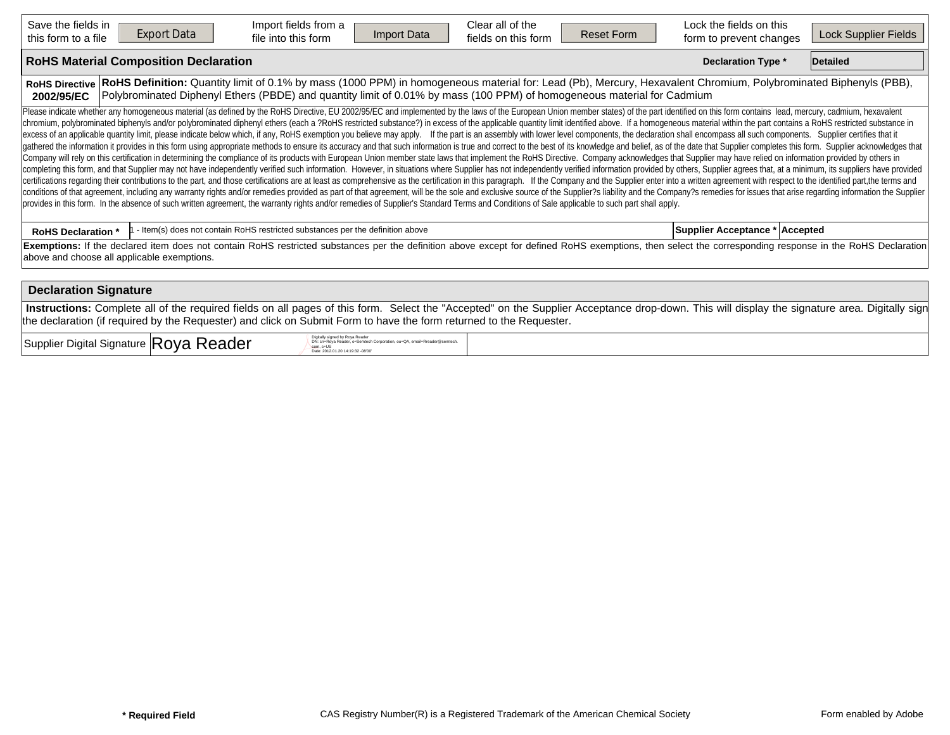| Save the fields in<br>this form to a file                                                                                                                                                                                                                                                                                                                                                                                                                                                                                                                                                                                                                                                                                                                                                                                                                                                                                                                                                                                                                                                                                                                                                                                                                                                                                                                                                                                                                                                                                                                                                                                                                                                                                                                                                                                                                                                                                                                                                                                                                                   | <b>Export Data</b> | Import fields from a<br>file into this form                                    | <b>Import Data</b> | Clear all of the<br>fields on this form | <b>Reset Form</b> | Lock the fields on this<br>form to prevent changes | Lock Supplier Fields |  |  |  |  |  |
|-----------------------------------------------------------------------------------------------------------------------------------------------------------------------------------------------------------------------------------------------------------------------------------------------------------------------------------------------------------------------------------------------------------------------------------------------------------------------------------------------------------------------------------------------------------------------------------------------------------------------------------------------------------------------------------------------------------------------------------------------------------------------------------------------------------------------------------------------------------------------------------------------------------------------------------------------------------------------------------------------------------------------------------------------------------------------------------------------------------------------------------------------------------------------------------------------------------------------------------------------------------------------------------------------------------------------------------------------------------------------------------------------------------------------------------------------------------------------------------------------------------------------------------------------------------------------------------------------------------------------------------------------------------------------------------------------------------------------------------------------------------------------------------------------------------------------------------------------------------------------------------------------------------------------------------------------------------------------------------------------------------------------------------------------------------------------------|--------------------|--------------------------------------------------------------------------------|--------------------|-----------------------------------------|-------------------|----------------------------------------------------|----------------------|--|--|--|--|--|
| <b>RoHS Material Composition Declaration</b><br><b>Declaration Type *</b><br>Detailed                                                                                                                                                                                                                                                                                                                                                                                                                                                                                                                                                                                                                                                                                                                                                                                                                                                                                                                                                                                                                                                                                                                                                                                                                                                                                                                                                                                                                                                                                                                                                                                                                                                                                                                                                                                                                                                                                                                                                                                       |                    |                                                                                |                    |                                         |                   |                                                    |                      |  |  |  |  |  |
| RoHS Definition: Quantity limit of 0.1% by mass (1000 PPM) in homogeneous material for: Lead (Pb), Mercury, Hexavalent Chromium, Polybrominated Biphenyls (PBB),<br><b>RoHS Directive</b><br>Polybrominated Diphenyl Ethers (PBDE) and quantity limit of 0.01% by mass (100 PPM) of homogeneous material for Cadmium<br>2002/95/EC                                                                                                                                                                                                                                                                                                                                                                                                                                                                                                                                                                                                                                                                                                                                                                                                                                                                                                                                                                                                                                                                                                                                                                                                                                                                                                                                                                                                                                                                                                                                                                                                                                                                                                                                          |                    |                                                                                |                    |                                         |                   |                                                    |                      |  |  |  |  |  |
| Please indicate whether any homogeneous material (as defined by the RoHS Directive, EU 2002/95/EC and implemented by the laws of the European Union member states) of the part identified on this form contains lead, mercury,<br>chromium, polybrominated biphenyls and/or polybrominated diphenyl ethers (each a ?RoHS restricted substance?) in excess of the applicable quantity limit identified above. If a homogeneous material within the part contains<br>excess of an applicable quantity limit, please indicate below which, if any, RoHS exemption you believe may apply. If the part is an assembly with lower level components, the declaration shall encompass all such components<br>gathered the information it provides in this form using appropriate methods to ensure its accuracy and that such information is true and correct to the best of its knowledge and belief, as of the date that Supplier complet<br>Company will rely on this certification in determining the compliance of its products with European Union member state laws that implement the RoHS Directive. Company acknowledges that Supplier may have relied on informati<br>completing this form, and that Supplier may not have independently verified such information. However, in situations where Supplier has not independently verified information provided by others, Supplier agrees that, at a<br>certifications regarding their contributions to the part, and those certifications are at least as comprehensive as the certification in this paragraph. If the Company and the Supplier enter into a written agreement with r<br>conditions of that agreement, including any warranty rights and/or remedies provided as part of that agreement, will be the sole and exclusive source of the Supplier?s liability and the Company?s remedies for issues that a<br>provides in this form. In the absence of such written agreement, the warranty rights and/or remedies of Supplier's Standard Terms and Conditions of Sale applicable to such part shall apply. |                    |                                                                                |                    |                                         |                   |                                                    |                      |  |  |  |  |  |
| <b>RoHS Declaration *</b>                                                                                                                                                                                                                                                                                                                                                                                                                                                                                                                                                                                                                                                                                                                                                                                                                                                                                                                                                                                                                                                                                                                                                                                                                                                                                                                                                                                                                                                                                                                                                                                                                                                                                                                                                                                                                                                                                                                                                                                                                                                   |                    | - Item(s) does not contain RoHS restricted substances per the definition above |                    |                                         |                   | Supplier Acceptance * Accepted                     |                      |  |  |  |  |  |
| Exemptions: If the declared item does not contain RoHS restricted substances per the definition above except for defined RoHS exemptions, then select the corresponding response in the RoHS Declaration<br>above and choose all applicable exemptions.                                                                                                                                                                                                                                                                                                                                                                                                                                                                                                                                                                                                                                                                                                                                                                                                                                                                                                                                                                                                                                                                                                                                                                                                                                                                                                                                                                                                                                                                                                                                                                                                                                                                                                                                                                                                                     |                    |                                                                                |                    |                                         |                   |                                                    |                      |  |  |  |  |  |
| <b>Declaration Signature</b>                                                                                                                                                                                                                                                                                                                                                                                                                                                                                                                                                                                                                                                                                                                                                                                                                                                                                                                                                                                                                                                                                                                                                                                                                                                                                                                                                                                                                                                                                                                                                                                                                                                                                                                                                                                                                                                                                                                                                                                                                                                |                    |                                                                                |                    |                                         |                   |                                                    |                      |  |  |  |  |  |
| Instructions: Complete all of the required fields on all pages of this form. Select the "Accepted" on the Supplier Acceptance drop-down. This will display the signature area. Digitally sign<br>the declaration (if required by the Requester) and click on Submit Form to have the form returned to the Requester.                                                                                                                                                                                                                                                                                                                                                                                                                                                                                                                                                                                                                                                                                                                                                                                                                                                                                                                                                                                                                                                                                                                                                                                                                                                                                                                                                                                                                                                                                                                                                                                                                                                                                                                                                        |                    |                                                                                |                    |                                         |                   |                                                    |                      |  |  |  |  |  |

 $\sup_{\text{Supplier}}$  Digital Signature  $|\text{Roya Reader}|\$ 

DN: cn=Roya Reader, o≔Semtech Corporation, ou=QA, email=Rreader@semtech.<br>com, c=US<br>Date: 2012.01.20 14:19:32 -08'00'